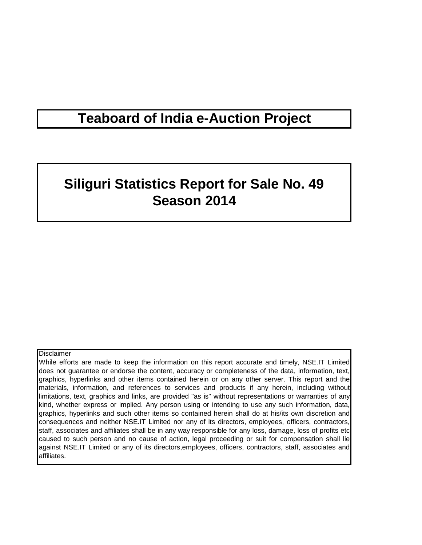## **Teaboard of India e-Auction Project**

# **Siliguri Statistics Report for Sale No. 49 Season 2014**

#### **Disclaimer**

While efforts are made to keep the information on this report accurate and timely, NSE.IT Limited does not guarantee or endorse the content, accuracy or completeness of the data, information, text, graphics, hyperlinks and other items contained herein or on any other server. This report and the materials, information, and references to services and products if any herein, including without limitations, text, graphics and links, are provided "as is" without representations or warranties of any kind, whether express or implied. Any person using or intending to use any such information, data, graphics, hyperlinks and such other items so contained herein shall do at his/its own discretion and consequences and neither NSE.IT Limited nor any of its directors, employees, officers, contractors, staff, associates and affiliates shall be in any way responsible for any loss, damage, loss of profits etc caused to such person and no cause of action, legal proceeding or suit for compensation shall lie against NSE.IT Limited or any of its directors,employees, officers, contractors, staff, associates and affiliates.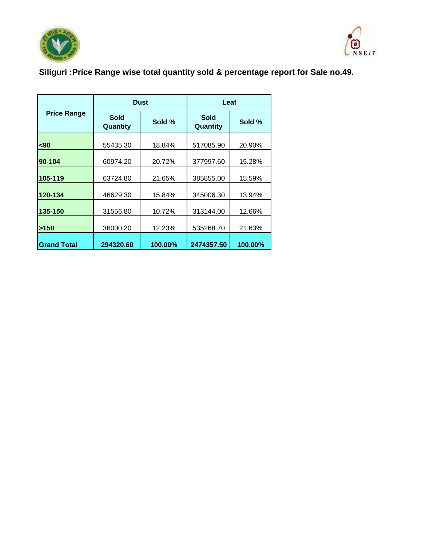



## **Siliguri :Price Range wise total quantity sold & percentage report for Sale no.49.**

|                    |                         | <b>Dust</b> | Leaf                    |         |  |
|--------------------|-------------------------|-------------|-------------------------|---------|--|
| <b>Price Range</b> | <b>Sold</b><br>Quantity | Sold %      | <b>Sold</b><br>Quantity | Sold %  |  |
| $90$               | 55435.30                | 18.84%      | 517085.90               | 20.90%  |  |
| 90-104             | 60974.20                | 20.72%      | 377997.60               | 15.28%  |  |
| 105-119            | 63724.80                | 21.65%      | 385855.00               | 15.59%  |  |
| 120-134            | 46629.30                | 15.84%      | 345006.30               | 13.94%  |  |
| 135-150            | 31556.80                | 10.72%      | 313144.00               | 12.66%  |  |
| >150               | 36000.20                | 12.23%      | 535268.70               | 21.63%  |  |
| <b>Grand Total</b> | 294320.60               | 100.00%     | 2474357.50              | 100.00% |  |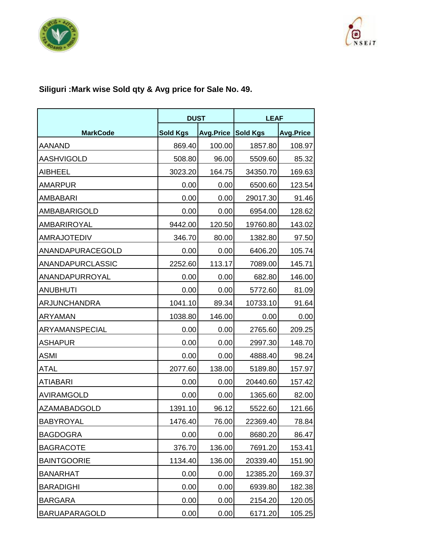



## **Siliguri :Mark wise Sold qty & Avg price for Sale No. 49.**

|                      |                 | <b>DUST</b> |                 | <b>LEAF</b>      |
|----------------------|-----------------|-------------|-----------------|------------------|
| <b>MarkCode</b>      | <b>Sold Kgs</b> | Avg.Price   | <b>Sold Kgs</b> | <b>Avg.Price</b> |
| <b>AANAND</b>        | 869.40          | 100.00      | 1857.80         | 108.97           |
| <b>AASHVIGOLD</b>    | 508.80          | 96.00       | 5509.60         | 85.32            |
| <b>AIBHEEL</b>       | 3023.20         | 164.75      | 34350.70        | 169.63           |
| <b>AMARPUR</b>       | 0.00            | 0.00        | 6500.60         | 123.54           |
| <b>AMBABARI</b>      | 0.00            | 0.00        | 29017.30        | 91.46            |
| <b>AMBABARIGOLD</b>  | 0.00            | 0.00        | 6954.00         | 128.62           |
| AMBARIROYAL          | 9442.00         | 120.50      | 19760.80        | 143.02           |
| <b>AMRAJOTEDIV</b>   | 346.70          | 80.00       | 1382.80         | 97.50            |
| ANANDAPURACEGOLD     | 0.00            | 0.00        | 6406.20         | 105.74           |
| ANANDAPURCLASSIC     | 2252.60         | 113.17      | 7089.00         | 145.71           |
| ANANDAPURROYAL       | 0.00            | 0.00        | 682.80          | 146.00           |
| <b>ANUBHUTI</b>      | 0.00            | 0.00        | 5772.60         | 81.09            |
| <b>ARJUNCHANDRA</b>  | 1041.10         | 89.34       | 10733.10        | 91.64            |
| <b>ARYAMAN</b>       | 1038.80         | 146.00      | 0.00            | 0.00             |
| ARYAMANSPECIAL       | 0.00            | 0.00        | 2765.60         | 209.25           |
| <b>ASHAPUR</b>       | 0.00            | 0.00        | 2997.30         | 148.70           |
| <b>ASMI</b>          | 0.00            | 0.00        | 4888.40         | 98.24            |
| <b>ATAL</b>          | 2077.60         | 138.00      | 5189.80         | 157.97           |
| <b>ATIABARI</b>      | 0.00            | 0.00        | 20440.60        | 157.42           |
| AVIRAMGOLD           | 0.00            | 0.00        | 1365.60         | 82.00            |
| <b>AZAMABADGOLD</b>  | 1391.10         | 96.12       | 5522.60         | 121.66           |
| <b>BABYROYAL</b>     | 1476.40         | 76.00       | 22369.40        | 78.84            |
| <b>BAGDOGRA</b>      | 0.00            | 0.00        | 8680.20         | 86.47            |
| <b>BAGRACOTE</b>     | 376.70          | 136.00      | 7691.20         | 153.41           |
| <b>BAINTGOORIE</b>   | 1134.40         | 136.00      | 20339.40        | 151.90           |
| <b>BANARHAT</b>      | 0.00            | 0.00        | 12385.20        | 169.37           |
| <b>BARADIGHI</b>     | 0.00            | 0.00        | 6939.80         | 182.38           |
| <b>BARGARA</b>       | 0.00            | 0.00        | 2154.20         | 120.05           |
| <b>BARUAPARAGOLD</b> | 0.00            | 0.00        | 6171.20         | 105.25           |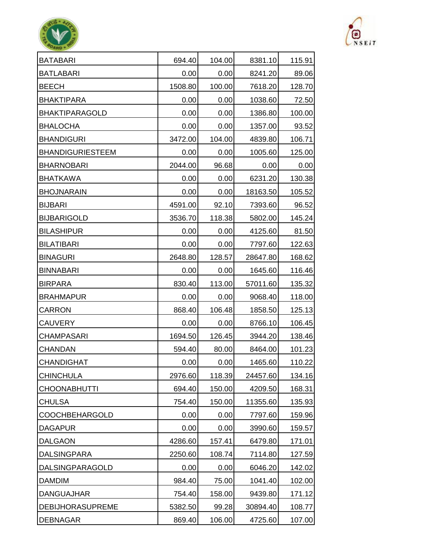| <b>BATABARI</b>         | 694.40  | 104.00 | 8381.10  | 115.91 |
|-------------------------|---------|--------|----------|--------|
| <b>BATLABARI</b>        | 0.00    | 0.00   | 8241.20  | 89.06  |
| <b>BEECH</b>            | 1508.80 | 100.00 | 7618.20  | 128.70 |
| <b>BHAKTIPARA</b>       | 0.00    | 0.00   | 1038.60  | 72.50  |
| <b>BHAKTIPARAGOLD</b>   | 0.00    | 0.00   | 1386.80  | 100.00 |
| <b>BHALOCHA</b>         | 0.00    | 0.00   | 1357.00  | 93.52  |
| <b>BHANDIGURI</b>       | 3472.00 | 104.00 | 4839.80  | 106.71 |
| <b>BHANDIGURIESTEEM</b> | 0.00    | 0.00   | 1005.60  | 125.00 |
| <b>BHARNOBARI</b>       | 2044.00 | 96.68  | 0.00     | 0.00   |
| <b>BHATKAWA</b>         | 0.00    | 0.00   | 6231.20  | 130.38 |
| <b>BHOJNARAIN</b>       | 0.00    | 0.00   | 18163.50 | 105.52 |
| <b>BIJBARI</b>          | 4591.00 | 92.10  | 7393.60  | 96.52  |
| <b>BIJBARIGOLD</b>      | 3536.70 | 118.38 | 5802.00  | 145.24 |
| <b>BILASHIPUR</b>       | 0.00    | 0.00   | 4125.60  | 81.50  |
| <b>BILATIBARI</b>       | 0.00    | 0.00   | 7797.60  | 122.63 |
| <b>BINAGURI</b>         | 2648.80 | 128.57 | 28647.80 | 168.62 |
| <b>BINNABARI</b>        | 0.00    | 0.00   | 1645.60  | 116.46 |
| <b>BIRPARA</b>          | 830.40  | 113.00 | 57011.60 | 135.32 |
| <b>BRAHMAPUR</b>        | 0.00    | 0.00   | 9068.40  | 118.00 |
| <b>CARRON</b>           | 868.40  | 106.48 | 1858.50  | 125.13 |
| <b>CAUVERY</b>          | 0.00    | 0.00   | 8766.10  | 106.45 |
| <b>CHAMPASARI</b>       | 1694.50 | 126.45 | 3944.20  | 138.46 |
| <b>CHANDAN</b>          | 594.40  | 80.00  | 8464.00  | 101.23 |
| <b>CHANDIGHAT</b>       | 0.00    | 0.00   | 1465.60  | 110.22 |
| <b>CHINCHULA</b>        | 2976.60 | 118.39 | 24457.60 | 134.16 |
| <b>CHOONABHUTTI</b>     | 694.40  | 150.00 | 4209.50  | 168.31 |
| <b>CHULSA</b>           | 754.40  | 150.00 | 11355.60 | 135.93 |
| <b>COOCHBEHARGOLD</b>   | 0.00    | 0.00   | 7797.60  | 159.96 |
| <b>DAGAPUR</b>          | 0.00    | 0.00   | 3990.60  | 159.57 |
| <b>DALGAON</b>          | 4286.60 | 157.41 | 6479.80  | 171.01 |
| <b>DALSINGPARA</b>      | 2250.60 | 108.74 | 7114.80  | 127.59 |
| DALSINGPARAGOLD         | 0.00    | 0.00   | 6046.20  | 142.02 |
| <b>DAMDIM</b>           | 984.40  | 75.00  | 1041.40  | 102.00 |
| <b>DANGUAJHAR</b>       | 754.40  | 158.00 | 9439.80  | 171.12 |
| <b>DEBIJHORASUPREME</b> | 5382.50 | 99.28  | 30894.40 | 108.77 |
| <b>DEBNAGAR</b>         | 869.40  | 106.00 | 4725.60  | 107.00 |



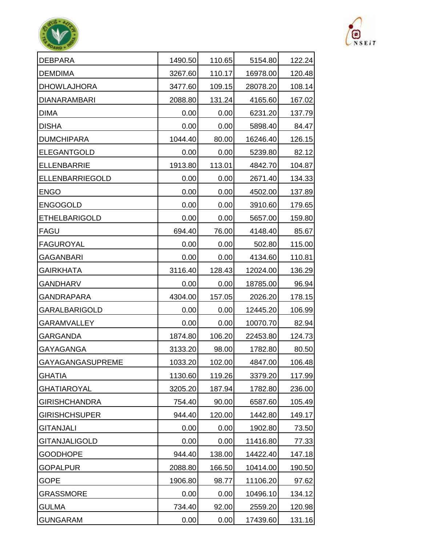| <b>DEBPARA</b>         | 1490.50 | 110.65 | 5154.80  | 122.24 |
|------------------------|---------|--------|----------|--------|
| <b>DEMDIMA</b>         | 3267.60 | 110.17 | 16978.00 | 120.48 |
| <b>DHOWLAJHORA</b>     | 3477.60 | 109.15 | 28078.20 | 108.14 |
| <b>DIANARAMBARI</b>    | 2088.80 | 131.24 | 4165.60  | 167.02 |
| <b>DIMA</b>            | 0.00    | 0.00   | 6231.20  | 137.79 |
| <b>DISHA</b>           | 0.00    | 0.00   | 5898.40  | 84.47  |
| <b>DUMCHIPARA</b>      | 1044.40 | 80.00  | 16246.40 | 126.15 |
| <b>ELEGANTGOLD</b>     | 0.00    | 0.00   | 5239.80  | 82.12  |
| <b>ELLENBARRIE</b>     | 1913.80 | 113.01 | 4842.70  | 104.87 |
| <b>ELLENBARRIEGOLD</b> | 0.00    | 0.00   | 2671.40  | 134.33 |
| <b>ENGO</b>            | 0.00    | 0.00   | 4502.00  | 137.89 |
| <b>ENGOGOLD</b>        | 0.00    | 0.00   | 3910.60  | 179.65 |
| <b>ETHELBARIGOLD</b>   | 0.00    | 0.00   | 5657.00  | 159.80 |
| <b>FAGU</b>            | 694.40  | 76.00  | 4148.40  | 85.67  |
| <b>FAGUROYAL</b>       | 0.00    | 0.00   | 502.80   | 115.00 |
| <b>GAGANBARI</b>       | 0.00    | 0.00   | 4134.60  | 110.81 |
| <b>GAIRKHATA</b>       | 3116.40 | 128.43 | 12024.00 | 136.29 |
| <b>GANDHARV</b>        | 0.00    | 0.00   | 18785.00 | 96.94  |
| <b>GANDRAPARA</b>      | 4304.00 | 157.05 | 2026.20  | 178.15 |
| <b>GARALBARIGOLD</b>   | 0.00    | 0.00   | 12445.20 | 106.99 |
| <b>GARAMVALLEY</b>     | 0.00    | 0.00   | 10070.70 | 82.94  |
| <b>GARGANDA</b>        | 1874.80 | 106.20 | 22453.80 | 124.73 |
| GAYAGANGA              | 3133.20 | 98.00  | 1782.80  | 80.50  |
| GAYAGANGASUPREME       | 1033.20 | 102.00 | 4847.00  | 106.48 |
| <b>GHATIA</b>          | 1130.60 | 119.26 | 3379.20  | 117.99 |
| <b>GHATIAROYAL</b>     | 3205.20 | 187.94 | 1782.80  | 236.00 |
| <b>GIRISHCHANDRA</b>   | 754.40  | 90.00  | 6587.60  | 105.49 |
| <b>GIRISHCHSUPER</b>   | 944.40  | 120.00 | 1442.80  | 149.17 |
| <b>GITANJALI</b>       | 0.00    | 0.00   | 1902.80  | 73.50  |
| <b>GITANJALIGOLD</b>   | 0.00    | 0.00   | 11416.80 | 77.33  |
| <b>GOODHOPE</b>        | 944.40  | 138.00 | 14422.40 | 147.18 |
| <b>GOPALPUR</b>        | 2088.80 | 166.50 | 10414.00 | 190.50 |
| <b>GOPE</b>            | 1906.80 | 98.77  | 11106.20 | 97.62  |
| <b>GRASSMORE</b>       | 0.00    | 0.00   | 10496.10 | 134.12 |
| <b>GULMA</b>           | 734.40  | 92.00  | 2559.20  | 120.98 |
| <b>GUNGARAM</b>        | 0.00    | 0.00   | 17439.60 | 131.16 |



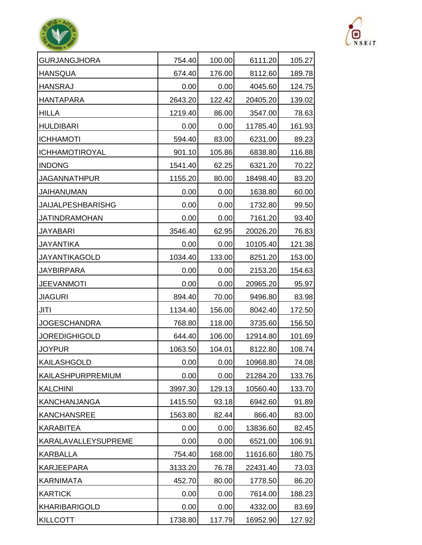| <b>GURJANGJHORA</b>      | 754.40  | 100.00 | 6111.20  | 105.27 |
|--------------------------|---------|--------|----------|--------|
| <b>HANSQUA</b>           | 674.40  | 176.00 | 8112.60  | 189.78 |
| <b>HANSRAJ</b>           | 0.00    | 0.00   | 4045.60  | 124.75 |
| <b>HANTAPARA</b>         | 2643.20 | 122.42 | 20405.20 | 139.02 |
| <b>HILLA</b>             | 1219.40 | 86.00  | 3547.00  | 78.63  |
| <b>HULDIBARI</b>         | 0.00    | 0.00   | 11785.40 | 161.93 |
| <b>ICHHAMOTI</b>         | 594.40  | 83.00  | 6231.00  | 89.23  |
| <b>ICHHAMOTIROYAL</b>    | 901.10  | 105.86 | 6838.80  | 116.88 |
| <b>INDONG</b>            | 1541.40 | 62.25  | 6321.20  | 70.22  |
| <b>JAGANNATHPUR</b>      | 1155.20 | 80.00  | 18498.40 | 83.20  |
| <b>JAIHANUMAN</b>        | 0.00    | 0.00   | 1638.80  | 60.00  |
| <b>JAIJALPESHBARISHG</b> | 0.00    | 0.00   | 1732.80  | 99.50  |
| <b>JATINDRAMOHAN</b>     | 0.00    | 0.00   | 7161.20  | 93.40  |
| <b>JAYABARI</b>          | 3546.40 | 62.95  | 20026.20 | 76.83  |
| <b>JAYANTIKA</b>         | 0.00    | 0.00   | 10105.40 | 121.38 |
| <b>JAYANTIKAGOLD</b>     | 1034.40 | 133.00 | 8251.20  | 153.00 |
| <b>JAYBIRPARA</b>        | 0.00    | 0.00   | 2153.20  | 154.63 |
| <b>JEEVANMOTI</b>        | 0.00    | 0.00   | 20965.20 | 95.97  |
| <b>JIAGURI</b>           | 894.40  | 70.00  | 9496.80  | 83.98  |
| <b>JITI</b>              | 1134.40 | 156.00 | 8042.40  | 172.50 |
| <b>JOGESCHANDRA</b>      | 768.80  | 118.00 | 3735.60  | 156.50 |
| <b>JOREDIGHIGOLD</b>     | 644.40  | 106.00 | 12914.80 | 101.69 |
| <b>JOYPUR</b>            | 1063.50 | 104.01 | 8122.80  | 108.74 |
| KAILASHGOLD              | 0.00    | 0.00   | 10968.80 | 74.08  |
| KAILASHPURPREMIUM        | 0.00    | 0.00   | 21284.20 | 133.76 |
| <b>KALCHINI</b>          | 3997.30 | 129.13 | 10560.40 | 133.70 |
| KANCHANJANGA             | 1415.50 | 93.18  | 6942.60  | 91.89  |
| <b>KANCHANSREE</b>       | 1563.80 | 82.44  | 866.40   | 83.00  |
| <b>KARABITEA</b>         | 0.00    | 0.00   | 13836.60 | 82.45  |
| KARALAVALLEYSUPREME      | 0.00    | 0.00   | 6521.00  | 106.91 |
| <b>KARBALLA</b>          | 754.40  | 168.00 | 11616.60 | 180.75 |
| <b>KARJEEPARA</b>        | 3133.20 | 76.78  | 22431.40 | 73.03  |
| <b>KARNIMATA</b>         | 452.70  | 80.00  | 1778.50  | 86.20  |
| <b>KARTICK</b>           | 0.00    | 0.00   | 7614.00  | 188.23 |
| <b>KHARIBARIGOLD</b>     | 0.00    | 0.00   | 4332.00  | 83.69  |
| <b>KILLCOTT</b>          | 1738.80 | 117.79 | 16952.90 | 127.92 |



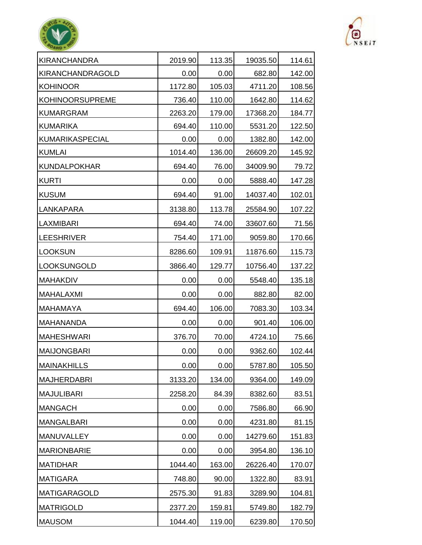| KIRANCHANDRA           | 2019.90 | 113.35 | 19035.50 | 114.61 |
|------------------------|---------|--------|----------|--------|
| KIRANCHANDRAGOLD       | 0.00    | 0.00   | 682.80   | 142.00 |
| <b>KOHINOOR</b>        | 1172.80 | 105.03 | 4711.20  | 108.56 |
| <b>KOHINOORSUPREME</b> | 736.40  | 110.00 | 1642.80  | 114.62 |
| <b>KUMARGRAM</b>       | 2263.20 | 179.00 | 17368.20 | 184.77 |
| KUMARIKA               | 694.40  | 110.00 | 5531.20  | 122.50 |
| KUMARIKASPECIAL        | 0.00    | 0.00   | 1382.80  | 142.00 |
| <b>KUMLAI</b>          | 1014.40 | 136.00 | 26609.20 | 145.92 |
| <b>KUNDALPOKHAR</b>    | 694.40  | 76.00  | 34009.90 | 79.72  |
| <b>KURTI</b>           | 0.00    | 0.00   | 5888.40  | 147.28 |
| <b>KUSUM</b>           | 694.40  | 91.00  | 14037.40 | 102.01 |
| LANKAPARA              | 3138.80 | 113.78 | 25584.90 | 107.22 |
| <b>LAXMIBARI</b>       | 694.40  | 74.00  | 33607.60 | 71.56  |
| <b>LEESHRIVER</b>      | 754.40  | 171.00 | 9059.80  | 170.66 |
| <b>LOOKSUN</b>         | 8286.60 | 109.91 | 11876.60 | 115.73 |
| <b>LOOKSUNGOLD</b>     | 3866.40 | 129.77 | 10756.40 | 137.22 |
| <b>MAHAKDIV</b>        | 0.00    | 0.00   | 5548.40  | 135.18 |
| MAHALAXMI              | 0.00    | 0.00   | 882.80   | 82.00  |
| <b>MAHAMAYA</b>        | 694.40  | 106.00 | 7083.30  | 103.34 |
| <b>MAHANANDA</b>       | 0.00    | 0.00   | 901.40   | 106.00 |
| <b>MAHESHWARI</b>      | 376.70  | 70.00  | 4724.10  | 75.66  |
| <b>MAIJONGBARI</b>     | 0.00    | 0.00   | 9362.60  | 102.44 |
| <b>MAINAKHILLS</b>     | 0.00    | 0.00   | 5787.80  | 105.50 |
| MAJHERDABRI            | 3133.20 | 134.00 | 9364.00  | 149.09 |
| MAJULIBARI             | 2258.20 | 84.39  | 8382.60  | 83.51  |
| MANGACH                | 0.00    | 0.00   | 7586.80  | 66.90  |
| MANGALBARI             | 0.00    | 0.00   | 4231.80  | 81.15  |
| <b>MANUVALLEY</b>      | 0.00    | 0.00   | 14279.60 | 151.83 |
| <b>MARIONBARIE</b>     | 0.00    | 0.00   | 3954.80  | 136.10 |
| <b>MATIDHAR</b>        | 1044.40 | 163.00 | 26226.40 | 170.07 |
| MATIGARA               | 748.80  | 90.00  | 1322.80  | 83.91  |
| <b>MATIGARAGOLD</b>    | 2575.30 | 91.83  | 3289.90  | 104.81 |
| MATRIGOLD              | 2377.20 | 159.81 | 5749.80  | 182.79 |
| <b>MAUSOM</b>          | 1044.40 | 119.00 | 6239.80  | 170.50 |



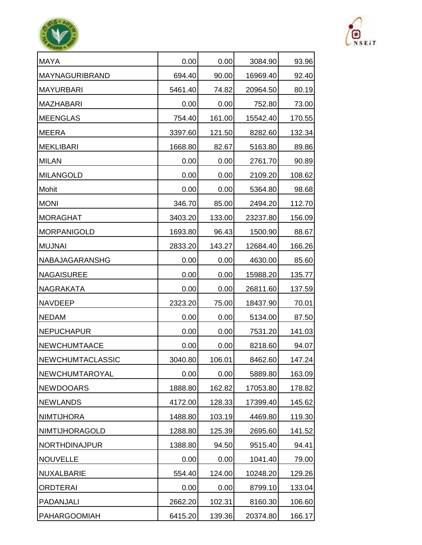| <b>MAYA</b>             | 0.00    | 0.00   | 3084.90  | 93.96  |
|-------------------------|---------|--------|----------|--------|
| <b>MAYNAGURIBRAND</b>   | 694.40  | 90.00  | 16969.40 | 92.40  |
| MAYURBARI               | 5461.40 | 74.82  | 20964.50 | 80.19  |
| MAZHABARI               | 0.00    | 0.00   | 752.80   | 73.00  |
| <b>MEENGLAS</b>         | 754.40  | 161.00 | 15542.40 | 170.55 |
| <b>MEERA</b>            | 3397.60 | 121.50 | 8282.60  | 132.34 |
| MEKLIBARI               | 1668.80 | 82.67  | 5163.80  | 89.86  |
| <b>MILAN</b>            | 0.00    | 0.00   | 2761.70  | 90.89  |
| MILANGOLD               | 0.00    | 0.00   | 2109.20  | 108.62 |
| <b>Mohit</b>            | 0.00    | 0.00   | 5364.80  | 98.68  |
| <b>MONI</b>             | 346.70  | 85.00  | 2494.20  | 112.70 |
| <b>MORAGHAT</b>         | 3403.20 | 133.00 | 23237.80 | 156.09 |
| MORPANIGOLD             | 1693.80 | 96.43  | 1500.90  | 88.67  |
| <b>MUJNAI</b>           | 2833.20 | 143.27 | 12684.40 | 166.26 |
| <b>NABAJAGARANSHG</b>   | 0.00    | 0.00   | 4630.00  | 85.60  |
| NAGAISUREE              | 0.00    | 0.00   | 15988.20 | 135.77 |
| NAGRAKATA               | 0.00    | 0.00   | 26811.60 | 137.59 |
| <b>NAVDEEP</b>          | 2323.20 | 75.00  | 18437.90 | 70.01  |
| <b>NEDAM</b>            | 0.00    | 0.00   | 5134.00  | 87.50  |
| NEPUCHAPUR              | 0.00    | 0.00   | 7531.20  | 141.03 |
| <b>NEWCHUMTAACE</b>     | 0.00    | 0.00   | 8218.60  | 94.07  |
| <b>NEWCHUMTACLASSIC</b> | 3040.80 | 106.01 | 8462.60  | 147.24 |
| NEWCHUMTAROYAL          | 0.00    | 0.00   | 5889.80  | 163.09 |
| NEWDOOARS               | 1888.80 | 162.82 | 17053.80 | 178.82 |
| <b>NEWLANDS</b>         | 4172.00 | 128.33 | 17399.40 | 145.62 |
| NIMTIJHORA              | 1488.80 | 103.19 | 4469.80  | 119.30 |
| <b>NIMTIJHORAGOLD</b>   | 1288.80 | 125.39 | 2695.60  | 141.52 |
| <b>NORTHDINAJPUR</b>    | 1388.80 | 94.50  | 9515.40  | 94.41  |
| NOUVELLE                | 0.00    | 0.00   | 1041.40  | 79.00  |
| NUXALBARIE              | 554.40  | 124.00 | 10248.20 | 129.26 |
| <b>ORDTERAI</b>         | 0.00    | 0.00   | 8799.10  | 133.04 |
| PADANJALI               | 2662.20 | 102.31 | 8160.30  | 106.60 |
| <b>PAHARGOOMIAH</b>     | 6415.20 | 139.36 | 20374.80 | 166.17 |



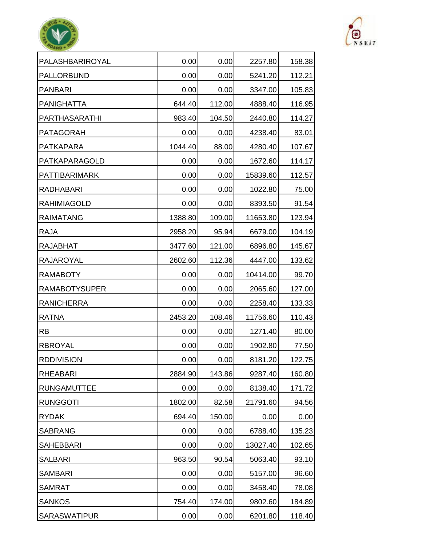| PALASHBARIROYAL      | 0.00    | 0.00   | 2257.80  | 158.38 |
|----------------------|---------|--------|----------|--------|
| <b>PALLORBUND</b>    | 0.00    | 0.00   | 5241.20  | 112.21 |
| <b>PANBARI</b>       | 0.00    | 0.00   | 3347.00  | 105.83 |
| <b>PANIGHATTA</b>    | 644.40  | 112.00 | 4888.40  | 116.95 |
| PARTHASARATHI        | 983.40  | 104.50 | 2440.80  | 114.27 |
| <b>PATAGORAH</b>     | 0.00    | 0.00   | 4238.40  | 83.01  |
| <b>PATKAPARA</b>     | 1044.40 | 88.00  | 4280.40  | 107.67 |
| PATKAPARAGOLD        | 0.00    | 0.00   | 1672.60  | 114.17 |
| <b>PATTIBARIMARK</b> | 0.00    | 0.00   | 15839.60 | 112.57 |
| <b>RADHABARI</b>     | 0.00    | 0.00   | 1022.80  | 75.00  |
| <b>RAHIMIAGOLD</b>   | 0.00    | 0.00   | 8393.50  | 91.54  |
| <b>RAIMATANG</b>     | 1388.80 | 109.00 | 11653.80 | 123.94 |
| <b>RAJA</b>          | 2958.20 | 95.94  | 6679.00  | 104.19 |
| <b>RAJABHAT</b>      | 3477.60 | 121.00 | 6896.80  | 145.67 |
| <b>RAJAROYAL</b>     | 2602.60 | 112.36 | 4447.00  | 133.62 |
| <b>RAMABOTY</b>      | 0.00    | 0.00   | 10414.00 | 99.70  |
| <b>RAMABOTYSUPER</b> | 0.00    | 0.00   | 2065.60  | 127.00 |
| <b>RANICHERRA</b>    | 0.00    | 0.00   | 2258.40  | 133.33 |
| <b>RATNA</b>         | 2453.20 | 108.46 | 11756.60 | 110.43 |
| <b>RB</b>            | 0.00    | 0.00   | 1271.40  | 80.00  |
| <b>RBROYAL</b>       | 0.00    | 0.00   | 1902.80  | 77.50  |
| <b>RDDIVISION</b>    | 0.00    | 0.00   | 8181.20  | 122.75 |
| <b>RHEABARI</b>      | 2884.90 | 143.86 | 9287.40  | 160.80 |
| <b>RUNGAMUTTEE</b>   | 0.00    | 0.00   | 8138.40  | 171.72 |
| <b>RUNGGOTI</b>      | 1802.00 | 82.58  | 21791.60 | 94.56  |
| <b>RYDAK</b>         | 694.40  | 150.00 | 0.00     | 0.00   |
| <b>SABRANG</b>       | 0.00    | 0.00   | 6788.40  | 135.23 |
| <b>SAHEBBARI</b>     | 0.00    | 0.00   | 13027.40 | 102.65 |
| <b>SALBARI</b>       | 963.50  | 90.54  | 5063.40  | 93.10  |
| <b>SAMBARI</b>       | 0.00    | 0.00   | 5157.00  | 96.60  |
| <b>SAMRAT</b>        | 0.00    | 0.00   | 3458.40  | 78.08  |
| <b>SANKOS</b>        | 754.40  | 174.00 | 9802.60  | 184.89 |
| <b>SARASWATIPUR</b>  | 0.00    | 0.00   | 6201.80  | 118.40 |



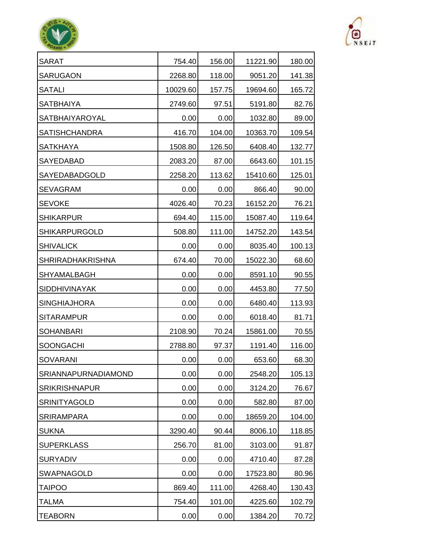| <b>SARAT</b>            | 754.40   | 156.00 | 11221.90 | 180.00 |
|-------------------------|----------|--------|----------|--------|
| <b>SARUGAON</b>         | 2268.80  | 118.00 | 9051.20  | 141.38 |
| <b>SATALI</b>           | 10029.60 | 157.75 | 19694.60 | 165.72 |
| <b>SATBHAIYA</b>        | 2749.60  | 97.51  | 5191.80  | 82.76  |
| <b>SATBHAIYAROYAL</b>   | 0.00     | 0.00   | 1032.80  | 89.00  |
| <b>SATISHCHANDRA</b>    | 416.70   | 104.00 | 10363.70 | 109.54 |
| <b>SATKHAYA</b>         | 1508.80  | 126.50 | 6408.40  | 132.77 |
| SAYEDABAD               | 2083.20  | 87.00  | 6643.60  | 101.15 |
| SAYEDABADGOLD           | 2258.20  | 113.62 | 15410.60 | 125.01 |
| <b>SEVAGRAM</b>         | 0.00     | 0.00   | 866.40   | 90.00  |
| <b>SEVOKE</b>           | 4026.40  | 70.23  | 16152.20 | 76.21  |
| <b>SHIKARPUR</b>        | 694.40   | 115.00 | 15087.40 | 119.64 |
| <b>SHIKARPURGOLD</b>    | 508.80   | 111.00 | 14752.20 | 143.54 |
| <b>SHIVALICK</b>        | 0.00     | 0.00   | 8035.40  | 100.13 |
| <b>SHRIRADHAKRISHNA</b> | 674.40   | 70.00  | 15022.30 | 68.60  |
| SHYAMALBAGH             | 0.00     | 0.00   | 8591.10  | 90.55  |
| <b>SIDDHIVINAYAK</b>    | 0.00     | 0.00   | 4453.80  | 77.50  |
| <b>SINGHIAJHORA</b>     | 0.00     | 0.00   | 6480.40  | 113.93 |
| <b>SITARAMPUR</b>       | 0.00     | 0.00   | 6018.40  | 81.71  |
| <b>SOHANBARI</b>        | 2108.90  | 70.24  | 15861.00 | 70.55  |
| <b>SOONGACHI</b>        | 2788.80  | 97.37  | 1191.40  | 116.00 |
| SOVARANI                | 0.00     | 0.00   | 653.60   | 68.30  |
| SRIANNAPURNADIAMOND     | 0.00     | 0.00   | 2548.20  | 105.13 |
| <b>SRIKRISHNAPUR</b>    | 0.00     | 0.00   | 3124.20  | 76.67  |
| <b>SRINITYAGOLD</b>     | 0.00     | 0.00   | 582.80   | 87.00  |
| <b>SRIRAMPARA</b>       | 0.00     | 0.00   | 18659.20 | 104.00 |
| <b>SUKNA</b>            | 3290.40  | 90.44  | 8006.10  | 118.85 |
| <b>SUPERKLASS</b>       | 256.70   | 81.00  | 3103.00  | 91.87  |
| <b>SURYADIV</b>         | 0.00     | 0.00   | 4710.40  | 87.28  |
| SWAPNAGOLD              | 0.00     | 0.00   | 17523.80 | 80.96  |
| <b>TAIPOO</b>           | 869.40   | 111.00 | 4268.40  | 130.43 |
| <b>TALMA</b>            | 754.40   | 101.00 | 4225.60  | 102.79 |
| <b>TEABORN</b>          | 0.00     | 0.00   | 1384.20  | 70.72  |



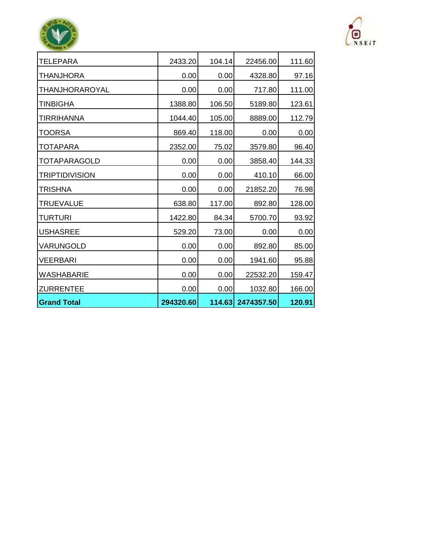| <b>Grand Total</b>    | 294320.60 |        | 114.63 2474357.50 | 120.91 |
|-----------------------|-----------|--------|-------------------|--------|
| <b>ZURRENTEE</b>      | 0.00      | 0.00   | 1032.80           | 166.00 |
| <b>WASHABARIE</b>     | 0.00      | 0.00   | 22532.20          | 159.47 |
| <b>VEERBARI</b>       | 0.00      | 0.00   | 1941.60           | 95.88  |
| VARUNGOLD             | 0.00      | 0.00   | 892.80            | 85.00  |
| <b>USHASREE</b>       | 529.20    | 73.00  | 0.00              | 0.00   |
| <b>TURTURI</b>        | 1422.80   | 84.34  | 5700.70           | 93.92  |
| <b>TRUEVALUE</b>      | 638.80    | 117.00 | 892.80            | 128.00 |
| <b>TRISHNA</b>        | 0.00      | 0.00   | 21852.20          | 76.98  |
| <b>TRIPTIDIVISION</b> | 0.00      | 0.00   | 410.10            | 66.00  |
| <b>TOTAPARAGOLD</b>   | 0.00      | 0.00   | 3858.40           | 144.33 |
| <b>TOTAPARA</b>       | 2352.00   | 75.02  | 3579.80           | 96.40  |
| <b>TOORSA</b>         | 869.40    | 118.00 | 0.00              | 0.00   |
| <b>TIRRIHANNA</b>     | 1044.40   | 105.00 | 8889.00           | 112.79 |
| <b>TINBIGHA</b>       | 1388.80   | 106.50 | 5189.80           | 123.61 |
| <b>THANJHORAROYAL</b> | 0.00      | 0.00   | 717.80            | 111.00 |
| <b>THANJHORA</b>      | 0.00      | 0.00   | 4328.80           | 97.16  |
| <b>TELEPARA</b>       | 2433.20   | 104.14 | 22456.00          | 111.60 |